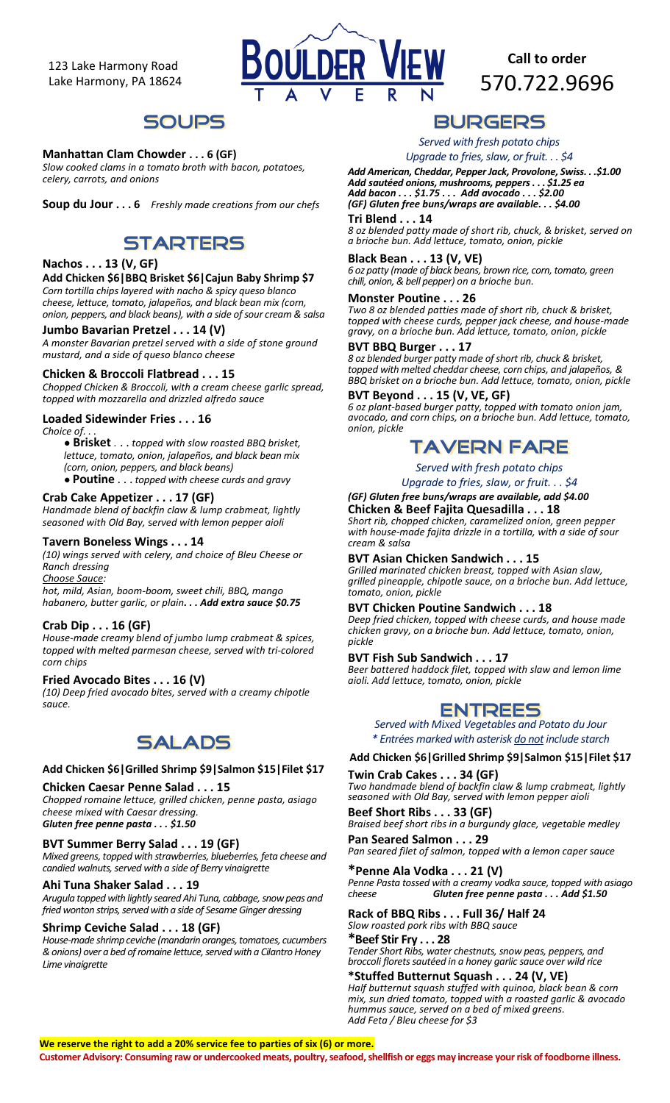123 Lake Harmony Road Lake Harmony, PA 18624



**Call to order**  570.722.9696

## **SOUPS**

### **Manhattan Clam Chowder . . . 6 (GF)**

*Slow cooked clams in a tomato broth with bacon, potatoes, celery, carrots, and onions* 

**Soup du Jour . . . 6** *Freshly made creations from our chefs*

## **STARTERS**

### **Nachos . . . 13 (V, GF)**

### **Add Chicken \$6|BBQ Brisket \$6|Cajun Baby Shrimp \$7**

*Corn tortilla chips layered with nacho & spicy queso blanco cheese, lettuce, tomato, jalapeños, and black bean mix (corn, onion, peppers, and black beans), with a side ofsour cream & salsa*

### **Jumbo Bavarian Pretzel . . . 14 (V)**

*A monster Bavarian pretzel served with a side of stone ground mustard, and a side of queso blanco cheese*

### **Chicken & Broccoli Flatbread . . . 15**

*Chopped Chicken & Broccoli, with a cream cheese garlic spread, topped with mozzarella and drizzled alfredo sauce*

### **Loaded Sidewinder Fries . . . 16**

#### *Choice of. . .*

*●* **Brisket** *.* . . *topped with slow roasted BBQ brisket, lettuce, tomato, onion, jalapeños, and black bean mix (corn, onion, peppers, and black beans)* ● **Poutine** . . . *topped with cheese curds and gravy*

### **Crab Cake Appetizer . . . 17 (GF)**

*Handmade blend of backfin claw & lump crabmeat, lightly seasoned with Old Bay,* s*erved with lemon pepper aioli*

#### **Tavern Boneless Wings . . . 14**

*(10) wings served with celery, and choice of Bleu Cheese or Ranch dressing*

*Choose Sauce:*

*hot, mild, Asian, boom-boom, sweet chili, BBQ, mango habanero, butter garlic, or plain. . . Add extra sauce \$0.75*

#### **Crab Dip . . . 16 (GF)**

*House-made creamy blend of jumbo lump crabmeat & spices, topped with melted parmesan cheese, served with tri-colored corn chips*

#### **Fried Avocado Bites . . . 16 (V)**

*(10) Deep fried avocado bites, served with a creamy chipotle sauce.*

# **SALADS**

#### **Add Chicken \$6|Grilled Shrimp \$9|Salmon \$15|Filet \$17**

#### **Chicken Caesar Penne Salad . . . 15**

*Chopped romaine lettuce, grilled chicken, penne pasta, asiago cheese mixed with Caesar dressing. Gluten free penne pasta . . . \$1.50*

### **BVT Summer Berry Salad . . . 19 (GF)**

*Mixed greens, topped with strawberries, blueberries, feta cheese and candied walnuts, served with a side of Berry vinaigrette*

#### **Ahi Tuna Shaker Salad . . . 19**

*Arugula topped with lightly seared Ahi Tuna, cabbage, snow peas and fried wonton strips, served with a side of Sesame Ginger dressing*

### **Shrimp Ceviche Salad . . . 18 (GF)**

*House-made shrimp ceviche (mandarin oranges, tomatoes, cucumbers & onions) over a bed of romaine lettuce, served with a Cilantro Honey Lime vinaigrette*

## **BURGERS**

*Served with fresh potato chips*

*Upgrade to fries, slaw, or fruit.* . . \$4 *Add American, Cheddar, Pepper Jack, Provolone, Swiss. . .\$1.00 Add sautéed onions, mushrooms, peppers.* **. .** *\$1.25 ea Add bacon . . . \$1.75 . . . Add avocado . . . \$2.00 (GF) Gluten free buns/wraps are available. . . \$4.00*

**Tri Blend . . . 14**

*8 oz blended patty made of short rib, chuck, & brisket, served on a brioche bun. Add lettuce, tomato, onion, pickle*

### **Black Bean . . . 13 (V, VE)**

*6 oz patty (made of black beans, brown rice, corn, tomato, green chili, onion,& bell pepper) on a brioche bun.*

### **Monster Poutine . . . 26**

*Two 8 oz blended patties made of short rib, chuck & brisket, topped with cheese curds, pepper jack cheese, and house-made gravy, on a brioche bun. Add lettuce, tomato, onion, pickle*

### **BVT BBQ Burger . . . 17**

*8 oz blended burger patty made of short rib, chuck & brisket, topped with melted cheddar cheese, corn chips, and jalapeños, & BBQ brisket on a brioche bun. Add lettuce, tomato, onion, pickle*

### **BVT Beyond . . . 15 (V, VE, GF)**

*6 oz plant-based burger patty, topped with tomato onion jam, avocado, and corn chips, on a brioche bun. Add lettuce, tomato, onion, pickle*

## **TAVERN FARE**

*Served with fresh potato chips*

*Upgrade to fries, slaw, or fruit. . . \$4*

#### *(GF) Gluten free buns/wraps are available, add \$4.00* **Chicken & Beef Fajita Quesadilla . . . 18**

*Short rib, chopped chicken, caramelized onion, green pepper with house-made fajita drizzle in a tortilla, with a side of sour cream & salsa*

### **BVT Asian Chicken Sandwich . . . 15**

*Grilled marinated chicken breast, topped with Asian slaw, grilled pineapple, chipotle sauce, on a brioche bun. Add lettuce, tomato, onion, pickle*

### **BVT Chicken Poutine Sandwich . . . 18**

*Deep fried chicken, topped with cheese curds, and house made chicken gravy, on a brioche bun. Add lettuce, tomato, onion, pickle*

### **BVT Fish Sub Sandwich . . . 17**

*Beer battered haddock filet, topped with slaw and lemon lime aioli. Add lettuce, tomato, onion, pickle*

### **ENTREES**

*Served with Mixed Vegetables and Potato du Jour \* Entrées marked with asterisk do not include starch*

**Add Chicken \$6|Grilled Shrimp \$9|Salmon \$15|Filet \$17**

**Twin Crab Cakes . . . 34 (GF)** *Two handmade blend of backfin claw & lump crabmeat, lightly* 

*seasoned with Old Bay,* s*erved with lemon pepper aioli* **Beef Short Ribs . . . 33 (GF)**

*Braised beef short ribs in a burgundy glace, vegetable medley* **Pan Seared Salmon . . . 29**

*Pan seared filet of salmon, topped with a lemon caper sauce*

### **\*Penne Ala Vodka . . . 21 (V)**

*Penne Pasta tossed with a creamy vodka sauce, topped with asiago cheese Gluten free penne pasta . . . Add \$1.50*

#### **Rack of BBQ Ribs . . . Full 36/ Half 24** *Slow roasted pork ribs with BBQ sauce*

**\*Beef Stir Fry . . . 28** *Tender Short Ribs, water chestnuts, snow peas, peppers, and broccoli florets sautéed in a honey garlic sauce over wild rice*

**\*Stuffed Butternut Squash . . . 24 (V, VE)** *Half butternut squash stuffed with quinoa, black bean & corn mix, sun dried tomato, topped with a roasted garlic & avocado hummus sauce, served on a bed of mixed greens. Add Feta / Bleu cheese for \$3*

### **We reserve the right to add a 20% service fee to parties of six (6) or more.**

**Customer Advisory: Consuming raw or undercooked meats, poultry, seafood, shellfish or eggs may increase your risk of foodborne illness.**